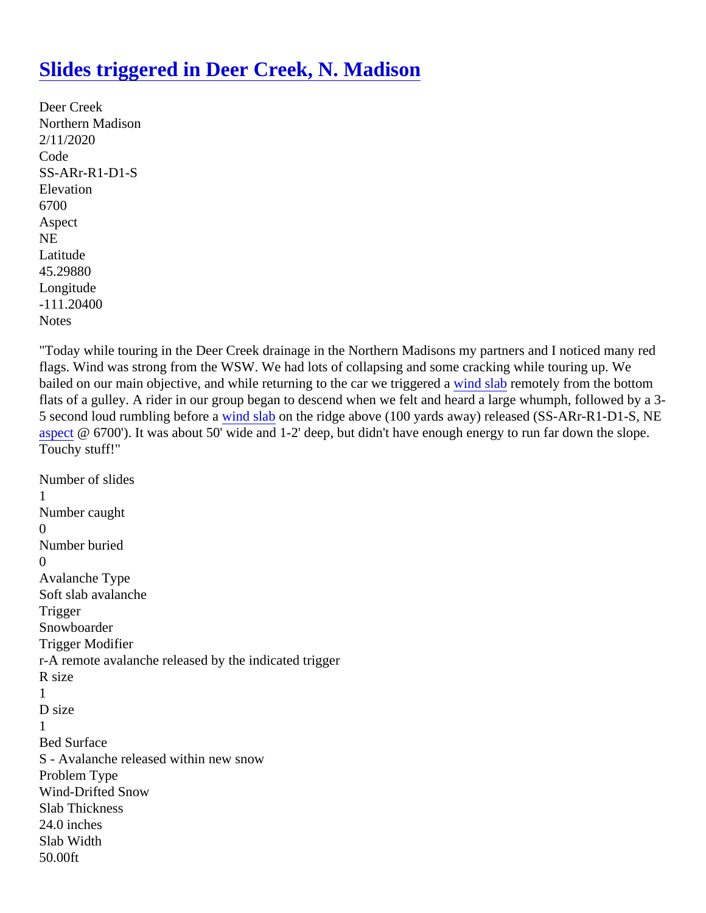## [Slides triggered in Deer Creek, N. Madiso](https://www.mtavalanche.com/node/22008)n

Deer Creek Northern Madison 2/11/2020 Code SS-ARr-R1-D1-S **Elevation** 6700 Aspect NE Latitude 45.29880 Longitude -111.20400 **Notes** 

"Today while touring in the Deer Creek drainage in the Northern Madisons my partners and I noticed many red flags. Wind was strong from the WSW. We had lots of collapsing and some cracking while touring up. We bailed on our main objective, and while returning to the car we triggered a labremotely from the bottom flats of a gulley. A rider in our group began to descend when we felt and heard a large whumph, followed by a 5 second loud rumbling before and slabon the ridge above (100 yards away) released (SS-ARr-R1-D1-S, NE [aspec](https://www.mtavalanche.com/taxonomy/term/258)t@ 6700'). It was about 50' wide and 1-2' deep, but didn't have enough energy to run far down the slope Touchy stuff!"

```
Number of slides
1
Number caught
\OmegaNumber buried
\OmegaAvalanche Type
Soft slab avalanche
Trigger
Snowboarder
Trigger Modifier
r-A remote avalanche released by the indicated trigger
R size
1
D size
1
Bed Surface
S - Avalanche released within new snow
Problem Type
Wind-Drifted Snow
Slab Thickness
24.0 inches
Slab Width
50.00ft
```